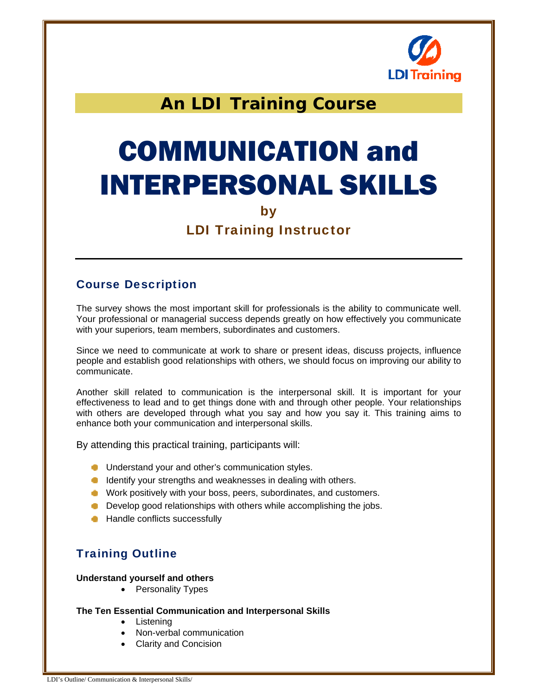

## **An LDI Training Course**

# COMMUNICATION and INTERPERSONAL SKILLS

#### by

## LDI Training Instructor

## Course Description

The survey shows the most important skill for professionals is the ability to communicate well. Your professional or managerial success depends greatly on how effectively you communicate with your superiors, team members, subordinates and customers.

Since we need to communicate at work to share or present ideas, discuss projects, influence people and establish good relationships with others, we should focus on improving our ability to communicate.

Another skill related to communication is the interpersonal skill. It is important for your effectiveness to lead and to get things done with and through other people. Your relationships with others are developed through what you say and how you say it. This training aims to enhance both your communication and interpersonal skills.

By attending this practical training, participants will:

- **Understand your and other's communication styles.**
- **IDENTIFY COVER STANDER IN A LIGAN STANDER IS A LIGAN COVER** In dealing with others.
- **Work positively with your boss, peers, subordinates, and customers.**
- **Develop good relationships with others while accomplishing the jobs.**
- **Handle conflicts successfully**

## Training Outline

#### **Understand yourself and others**

• Personality Types

#### **The Ten Essential Communication and Interpersonal Skills**

- Listening
- Non-verbal communication
- Clarity and Concision